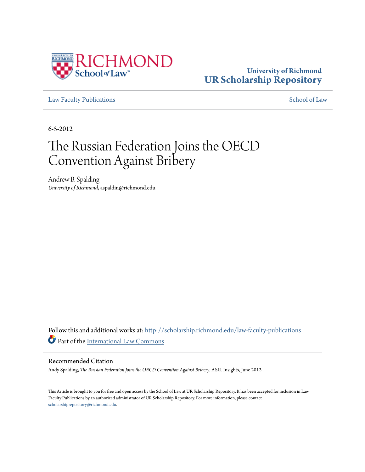

### **University of Richmond [UR Scholarship Repository](http://scholarship.richmond.edu?utm_source=scholarship.richmond.edu%2Flaw-faculty-publications%2F64&utm_medium=PDF&utm_campaign=PDFCoverPages)**

[Law Faculty Publications](http://scholarship.richmond.edu/law-faculty-publications?utm_source=scholarship.richmond.edu%2Flaw-faculty-publications%2F64&utm_medium=PDF&utm_campaign=PDFCoverPages) [School of Law](http://scholarship.richmond.edu/law?utm_source=scholarship.richmond.edu%2Flaw-faculty-publications%2F64&utm_medium=PDF&utm_campaign=PDFCoverPages)

6-5-2012

## The Russian Federation Joins the OECD Convention Against Bribery

Andrew B. Spalding *University of Richmond*, aspaldin@richmond.edu

Follow this and additional works at: [http://scholarship.richmond.edu/law-faculty-publications](http://scholarship.richmond.edu/law-faculty-publications?utm_source=scholarship.richmond.edu%2Flaw-faculty-publications%2F64&utm_medium=PDF&utm_campaign=PDFCoverPages) Part of the [International Law Commons](http://network.bepress.com/hgg/discipline/609?utm_source=scholarship.richmond.edu%2Flaw-faculty-publications%2F64&utm_medium=PDF&utm_campaign=PDFCoverPages)

#### Recommended Citation

Andy Spalding, *The Russian Federation Joins the OECD Convention Against Bribery*, ASIL Insights, June 2012..

This Article is brought to you for free and open access by the School of Law at UR Scholarship Repository. It has been accepted for inclusion in Law Faculty Publications by an authorized administrator of UR Scholarship Repository. For more information, please contact [scholarshiprepository@richmond.edu.](mailto:scholarshiprepository@richmond.edu)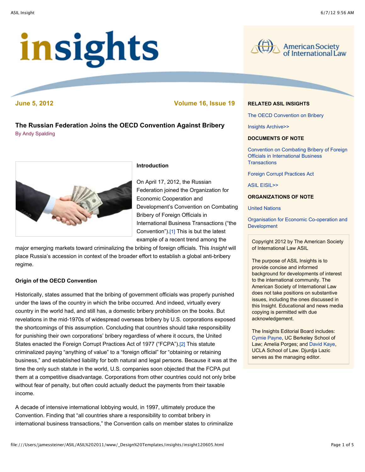# insights



**June 5, 2012 Volume 16, Issue 19**

**The Russian Federation Joins the OECD Convention Against Bribery** By Andy Spalding



#### **Introduction**

On April 17, 2012, the Russian Federation joined the Organization for Economic Cooperation and Development's Convention on Combating Bribery of Foreign Officials in International Business Transactions ("the Convention").[1] This is but the latest example of a recent trend among the

major emerging markets toward criminalizing the bribing of foreign officials. This *Insight* will place Russia's accession in context of the broader effort to establish a global anti-bribery regime.

#### **Origin of the OECD Convention**

Historically, states assumed that the bribing of government officials was properly punished under the laws of the country in which the bribe occurred. And indeed, virtually every country in the world had, and still has, a domestic bribery prohibition on the books. But revelations in the mid-1970s of widespread overseas bribery by U.S. corporations exposed the shortcomings of this assumption. Concluding that countries should take responsibility for punishing their own corporations' bribery regardless of where it occurs, the United States enacted the Foreign Corrupt Practices Act of 1977 ("FCPA").[2] This statute criminalized paying "anything of value" to a "foreign official" for "obtaining or retaining business," and established liability for both natural and legal persons. Because it was at the time the only such statute in the world, U.S. companies soon objected that the FCPA put them at a competitive disadvantage. Corporations from other countries could not only bribe without fear of penalty, but often could actually deduct the payments from their taxable income.

A decade of intensive international lobbying would, in 1997, ultimately produce the Convention. Finding that "all countries share a responsibility to combat bribery in international business transactions," the Convention calls on member states to criminalize

#### **RELATED ASIL INSIGHTS**

The OECD Convention on Bribery

Insights Archive>>

#### **DOCUMENTS OF NOTE**

Convention on Combating Bribery of Foreign Officials in International Business **Transactions** 

Foreign Corrupt Practices Act

ASIL EISIL>>

#### **ORGANIZATIONS OF NOTE**

United Nations

Organisation for Economic Co-operation and **Development** 

Copyright 2012 by The American Society of International Law ASIL

The purpose of ASIL Insights is to provide concise and informed background for developments of interest to the international community. The American Society of International Law does not take positions on substantive issues, including the ones discussed in this Insight. Educational and news media copying is permitted with due acknowledgement.

The Insights Editorial Board includes: Cymie Payne, UC Berkeley School of Law; Amelia Porges; and David Kaye, UCLA School of Law. Djurdja Lazic serves as the managing editor.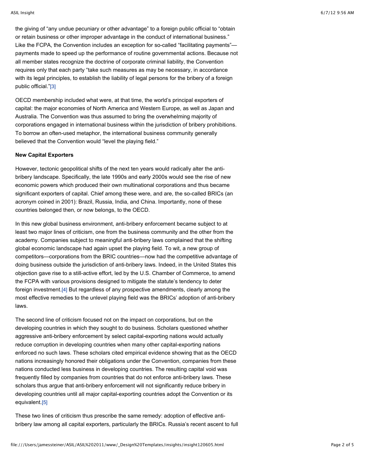the giving of "any undue pecuniary or other advantage" to a foreign public official to "obtain or retain business or other improper advantage in the conduct of international business." Like the FCPA, the Convention includes an exception for so-called "facilitating payments" payments made to speed up the performance of routine governmental actions. Because not all member states recognize the doctrine of corporate criminal liability, the Convention requires only that each party "take such measures as may be necessary, in accordance with its legal principles, to establish the liability of legal persons for the bribery of a foreign public official."[3]

OECD membership included what were, at that time, the world's principal exporters of capital: the major economies of North America and Western Europe, as well as Japan and Australia. The Convention was thus assumed to bring the overwhelming majority of corporations engaged in international business within the jurisdiction of bribery prohibitions. To borrow an often-used metaphor, the international business community generally believed that the Convention would "level the playing field."

#### **New Capital Exporters**

However, tectonic geopolitical shifts of the next ten years would radically alter the antibribery landscape. Specifically, the late 1990s and early 2000s would see the rise of new economic powers which produced their own multinational corporations and thus became significant exporters of capital. Chief among these were, and are, the so-called BRICs (an acronym coined in 2001): Brazil, Russia, India, and China. Importantly, none of these countries belonged then, or now belongs, to the OECD.

In this new global business environment, anti-bribery enforcement became subject to at least two major lines of criticism, one from the business community and the other from the academy. Companies subject to meaningful anti-bribery laws complained that the shifting global economic landscape had again upset the playing field. To wit, a new group of competitors—corporations from the BRIC countries—now had the competitive advantage of doing business outside the jurisdiction of anti-bribery laws. Indeed, in the United States this objection gave rise to a still-active effort, led by the U.S. Chamber of Commerce, to amend the FCPA with various provisions designed to mitigate the statute's tendency to deter foreign investment.[4] But regardless of any prospective amendments, clearly among the most effective remedies to the unlevel playing field was the BRICs' adoption of anti-bribery laws.

The second line of criticism focused not on the impact on corporations, but on the developing countries in which they sought to do business. Scholars questioned whether aggressive anti-bribery enforcement by select capital-exporting nations would actually reduce corruption in developing countries when many other capital-exporting nations enforced no such laws. These scholars cited empirical evidence showing that as the OECD nations increasingly honored their obligations under the Convention, companies from these nations conducted less business in developing countries. The resulting capital void was frequently filled by companies from countries that do not enforce anti-bribery laws. These scholars thus argue that anti-bribery enforcement will not significantly reduce bribery in developing countries until all major capital-exporting countries adopt the Convention or its equivalent.[5]

These two lines of criticism thus prescribe the same remedy: adoption of effective antibribery law among all capital exporters, particularly the BRICs. Russia's recent ascent to full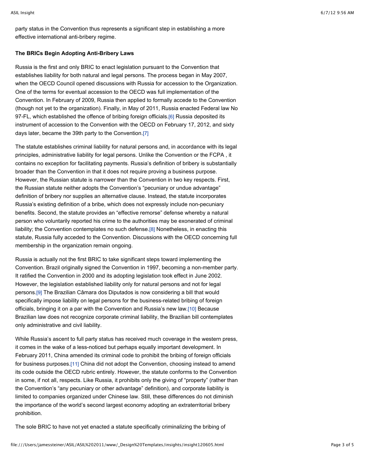party status in the Convention thus represents a significant step in establishing a more effective international anti-bribery regime.

#### **The BRICs Begin Adopting Anti-Bribery Laws**

Russia is the first and only BRIC to enact legislation pursuant to the Convention that establishes liability for both natural and legal persons. The process began in May 2007, when the OECD Council opened discussions with Russia for accession to the Organization. One of the terms for eventual accession to the OECD was full implementation of the Convention. In February of 2009, Russia then applied to formally accede to the Convention (though not yet to the organization). Finally, in May of 2011, Russia enacted Federal law No 97-FL, which established the offence of bribing foreign officials.[6] Russia deposited its instrument of accession to the Convention with the OECD on February 17, 2012, and sixty days later, became the 39th party to the Convention.[7]

The statute establishes criminal liability for natural persons and, in accordance with its legal principles, administrative liability for legal persons. Unlike the Convention or the FCPA , it contains no exception for facilitating payments. Russia's definition of bribery is substantially broader than the Convention in that it does not require proving a business purpose. However, the Russian statute is narrower than the Convention in two key respects. First, the Russian statute neither adopts the Convention's "pecuniary or undue advantage" definition of bribery nor supplies an alternative clause. Instead, the statute incorporates Russia's existing definition of a bribe, which does not expressly include non-pecuniary benefits. Second, the statute provides an "effective remorse" defense whereby a natural person who voluntarily reported his crime to the authorities may be exonerated of criminal liability; the Convention contemplates no such defense.[8] Nonetheless, in enacting this statute, Russia fully acceded to the Convention. Discussions with the OECD concerning full membership in the organization remain ongoing.

Russia is actually not the first BRIC to take significant steps toward implementing the Convention. Brazil originally signed the Convention in 1997, becoming a non-member party. It ratified the Convention in 2000 and its adopting legislation took effect in June 2002. However, the legislation established liability only for natural persons and not for legal persons.[9] The Brazilian Câmara dos Diputados is now considering a bill that would specifically impose liability on legal persons for the business-related bribing of foreign officials, bringing it on a par with the Convention and Russia's new law.[10] Because Brazilian law does not recognize corporate criminal liability, the Brazilian bill contemplates only administrative and civil liability.

While Russia's ascent to full party status has received much coverage in the western press, it comes in the wake of a less-noticed but perhaps equally important development. In February 2011, China amended its criminal code to prohibit the bribing of foreign officials for business purposes.[11] China did not adopt the Convention, choosing instead to amend its code outside the OECD rubric entirely. However, the statute conforms to the Convention in some, if not all, respects. Like Russia, it prohibits only the giving of "property" (rather than the Convention's "any pecuniary or other advantage" definition), and corporate liability is limited to companies organized under Chinese law. Still, these differences do not diminish the importance of the world's second largest economy adopting an extraterritorial bribery prohibition.

The sole BRIC to have not yet enacted a statute specifically criminalizing the bribing of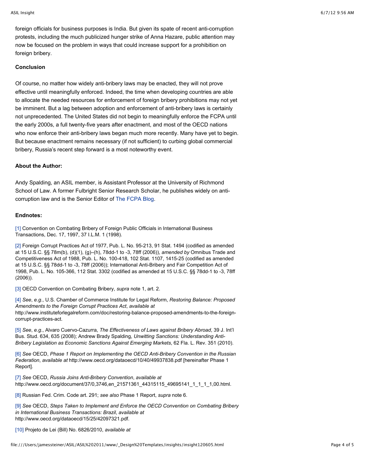foreign officials for business purposes is India. But given its spate of recent anti-corruption protests, including the much publicized hunger strike of Anna Hazare, public attention may now be focused on the problem in ways that could increase support for a prohibition on foreign bribery.

#### **Conclusion**

Of course, no matter how widely anti-bribery laws may be enacted, they will not prove effective until meaningfully enforced. Indeed, the time when developing countries are able to allocate the needed resources for enforcement of foreign bribery prohibitions may not yet be imminent. But a lag between adoption and enforcement of anti-bribery laws is certainly not unprecedented. The United States did not begin to meaningfully enforce the FCPA until the early 2000s, a full twenty-five years after enactment, and most of the OECD nations who now enforce their anti-bribery laws began much more recently. Many have yet to begin. But because enactment remains necessary (if not sufficient) to curbing global commercial bribery, Russia's recent step forward is a most noteworthy event.

#### **About the Author:**

Andy Spalding, an ASIL member, is Assistant Professor at the University of Richmond School of Law. A former Fulbright Senior Research Scholar, he publishes widely on anticorruption law and is the Senior Editor of The FCPA Blog.

#### **Endnotes:**

[1] Convention on Combating Bribery of Foreign Public Officials in International Business Transactions, Dec. 17, 1997, 37 I.L.M. 1 (1998).

[2] Foreign Corrupt Practices Act of 1977, Pub. L. No. 95-213, 91 Stat. 1494 (codified as amended at 15 U.S.C. §§ 78m(b), (d)(1), (g)–(h), 78dd-1 to -3, 78ff (2006)), *amended by* Omnibus Trade and Competitiveness Act of 1988, Pub. L. No. 100-418, 102 Stat. 1107, 1415-25 (codified as amended at 15 U.S.C. §§ 78dd-1 to -3, 78ff (2006)); International Anti-Bribery and Fair Competition Act of 1998, Pub. L. No. 105-366, 112 Stat. 3302 (codified as amended at 15 U.S.C. §§ 78dd-1 to -3, 78ff (2006)).

[3] OECD Convention on Combating Bribery, *supra* note 1, art. 2.

[4] *See*, *e.g*., U.S. Chamber of Commerce Institute for Legal Reform, *Restoring Balance: Proposed Amendments to the Foreign Corrupt Practices Act*, *available at* http://www.instituteforlegalreform.com/doc/restoring-balance-proposed-amendments-to-the-foreigncorrupt-practices-act.

[5] *See*, *e.g*., Alvaro Cuervo-Cazurra, *The Effectiveness of Laws against Bribery Abroad*, 39 J. Int'l Bus. Stud. 634, 635 (2008); Andrew Brady Spalding, *Unwitting Sanctions: Understanding Anti-Bribery Legislation as Economic Sanctions Against Emerging Markets*, 62 Fla. L. Rev. 351 (2010).

[6] *See* OECD, *Phase 1 Report on Implementing the OECD Anti-Bribery Convention in the Russian Federation*, *available at* http://www.oecd.org/dataoecd/10/40/49937838.pdf [hereinafter Phase 1 Report].

[7] *See* OECD, *Russia Joins Anti-Bribery Convention*, *available at* http://www.oecd.org/document/37/0,3746,en\_21571361\_44315115\_49695141\_1\_1\_1\_1,00.html.

[8] Russian Fed. Crim. Code art. 291; *see also* Phase 1 Report, *supra* note 6.

[9] *See* OECD, *Steps Taken to Implement and Enforce the OECD Convention on Combating Bribery in International Business Transactions: Brazil*, *available at* http://www.oecd.org/dataoecd/15/25/42097321.pdf.

[10] Projeto de Lei (Bill) No. 6826/2010, *available at*